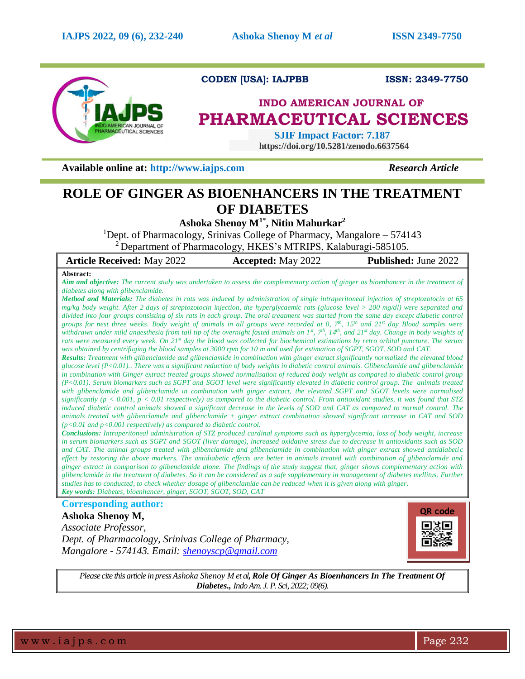

## **CODEN [USA]: IAJPBB ISSN: 2349-7750**

# **INDO AMERICAN JOURNAL OF PHARMACEUTICAL SCIENCES**

 **SJIF Impact Factor: 7.187 https://doi.org/10.5281/zenodo.6637564**

**Available online at: [http://www.iajps.com](http://www.iajps.com/)** *Research Article*

## **ROLE OF GINGER AS BIOENHANCERS IN THE TREATMENT OF DIABETES**

**Ashoka Shenoy M1\* , Nitin Mahurkar<sup>2</sup>**

<sup>1</sup>Dept. of Pharmacology, Srinivas College of Pharmacy, Mangalore  $-574143$ 

<sup>2</sup> Department of Pharmacology, HKES's MTRIPS, Kalaburagi-585105.

| <b>Article Received: May 2022</b>                                                                                                                                                                                                                                        | <b>Accepted:</b> May 2022 | <b>Published:</b> June 2022 |
|--------------------------------------------------------------------------------------------------------------------------------------------------------------------------------------------------------------------------------------------------------------------------|---------------------------|-----------------------------|
| Abstract:                                                                                                                                                                                                                                                                |                           |                             |
| <b>Aim and objective:</b> The current study was undertaken to assess the complementary action of ginger as bioenhancer in the treatment of                                                                                                                               |                           |                             |
| diabetes along with glibenclamide.                                                                                                                                                                                                                                       |                           |                             |
| <b>Method and Materials:</b> The diabetes in rats was induced by administration of single intraperitoneal injection of streptozotocin at 65                                                                                                                              |                           |                             |
| mg/kg body weight. After 2 days of streptozotocin injection, the hyperglycaemic rats (glucose level > 200 mg/dl) were separated and                                                                                                                                      |                           |                             |
| divided into four groups consisting of six rats in each group. The oral treatment was started from the same day except diabetic control                                                                                                                                  |                           |                             |
| groups for nest three weeks. Body weight of animals in all groups were recorded at 0, $7^{th}$ , 15 <sup>th</sup> and 21 <sup>st</sup> day Blood samples were                                                                                                            |                           |                             |
| withdrawn under mild anaesthesia from tail tip of the overnight fasted animals on $I^s$ , $7^{\#}$ , $I4^{\#}$ , and $2I^s$ day. Change in body weights of                                                                                                               |                           |                             |
| rats were measured every week. On 21 <sup>st</sup> day the blood was collected for biochemical estimations by retro orbital puncture. The serum                                                                                                                          |                           |                             |
| was obtained by centrifuging the blood samples at 3000 rpm for 10 m and used for estimation of SGPT, SGOT, SOD and CAT.<br><b>Results:</b> Treatment with glibenclamide and glibenclamide in combination with ginger extract significantly normalized the elevated blood |                           |                             |
| glucose level $(P<0.01)$ . There was a significant reduction of body weights in diabetic control animals. Glibenclamide and glibenclamide                                                                                                                                |                           |                             |
| in combination with Ginger extract treated groups showed normalisation of reduced body weight as compared to diabetic control group                                                                                                                                      |                           |                             |
| $(P<0.01)$ . Serum biomarkers such as SGPT and SGOT level were significantly elevated in diabetic control group. The animals treated                                                                                                                                     |                           |                             |
| with glibenclamide and glibenclamide in combination with ginger extract, the elevated SGPT and SGOT levels were normalised                                                                                                                                               |                           |                             |
| significantly ( $p < 0.001$ , $p < 0.01$ respectively) as compared to the diabetic control. From antioxidant studies, it was found that STZ                                                                                                                              |                           |                             |
| induced diabetic control animals showed a significant decrease in the levels of SOD and CAT as compared to normal control. The                                                                                                                                           |                           |                             |
| animals treated with glibenclamide and glibenclamide + ginger extract combination showed significant increase in CAT and SOD                                                                                                                                             |                           |                             |
| $(p<0.01$ and $p<0.001$ respectively) as compared to diabetic control.                                                                                                                                                                                                   |                           |                             |
| <b>Conclusions:</b> Intraperitoneal administration of STZ produced cardinal symptoms such as hyperglycemia, loss of body weight, increase                                                                                                                                |                           |                             |
| in serum biomarkers such as SGPT and SGOT (liver damage), increased oxidative stress due to decrease in antioxidants such as SOD                                                                                                                                         |                           |                             |
| and CAT. The animal groups treated with glibenclamide and glibenclamide in combination with ginger extract showed antidiabetic                                                                                                                                           |                           |                             |
| effect by restoring the above markers. The antidiabetic effects are better in animals treated with combination of glibenclamide and                                                                                                                                      |                           |                             |
| ginger extract in comparison to glibenclamide alone. The findings of the study suggest that, ginger shows complementary action with                                                                                                                                      |                           |                             |
| glibenclamide in the treatment of diabetes. So it can be considered as a safe supplementary in management of diabetes mellitus. Further                                                                                                                                  |                           |                             |

*studies has to conducted, to check whether dosage of glibenclamide can be reduced when it is given along with ginger. Key words: Diabetes, bioenhancer, ginger, SGOT, SGOT, SOD, CAT*

**Corresponding author:** 

### **Ashoka Shenoy M,**

*Associate Professor, Dept. of Pharmacology, Srinivas College of Pharmacy, Mangalore - 574143. Email: [shenoyscp@gmail.com](mailto:shenoyscp@gmail.com)*



*Please cite this article in pressAshoka Shenoy M et al,Role Of Ginger As Bioenhancers In The Treatment Of Diabetes., Indo Am. J. P. Sci, 2022; 09(6).*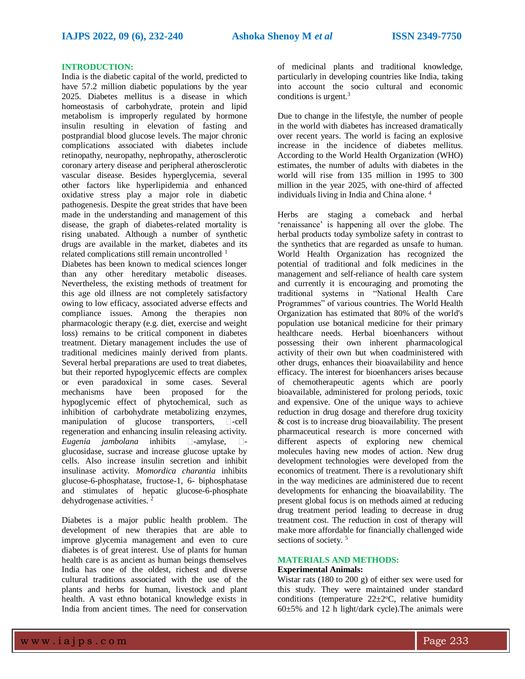#### **INTRODUCTION:**

India is the diabetic capital of the world, predicted to have 57.2 million diabetic populations by the year 2025. Diabetes mellitus is a disease in which homeostasis of carbohydrate, protein and lipid metabolism is improperly regulated by hormone insulin resulting in elevation of fasting and postprandial blood glucose levels. The major chronic complications associated with diabetes include retinopathy, neuropathy, nephropathy, atherosclerotic coronary artery disease and peripheral atherosclerotic vascular disease. Besides hyperglycemia, several other factors like hyperlipidemia and enhanced oxidative stress play a major role in diabetic pathogenesis. Despite the great strides that have been made in the understanding and management of this disease, the graph of diabetes-related mortality is rising unabated. Although a number of synthetic drugs are available in the market, diabetes and its related complications still remain uncontrolled. 1

Diabetes has been known to medical sciences longer than any other hereditary metabolic diseases. Nevertheless, the existing methods of treatment for this age old illness are not completely satisfactory owing to low efficacy, associated adverse effects and compliance issues. Among the therapies non pharmacologic therapy (e.g. diet, exercise and weight loss) remains to be critical component in diabetes treatment. Dietary management includes the use of traditional medicines mainly derived from plants. Several herbal preparations are used to treat diabetes, but their reported hypoglycemic effects are complex or even paradoxical in some cases. Several mechanisms have been proposed for the hypoglycemic effect of phytochemical, such as inhibition of carbohydrate metabolizing enzymes, manipulation of glucose transporters,  $\square$ -cell regeneration and enhancing insulin releasing activity. *Eugenia jambolana* inhibits  $\Box$ -amylase,  $\Box$ glucosidase, sucrase and increase glucose uptake by cells. Also increase insulin secretion and inhibit insulinase activity. *Momordica charantia* inhibits glucose-6-phosphatase, fructose-1, 6- biphosphatase and stimulates of hepatic glucose-6-phosphate dehydrogenase activities. <sup>2</sup>

Diabetes is a major public health problem. The development of new therapies that are able to improve glycemia management and even to cure diabetes is of great interest. Use of plants for human health care is as ancient as human beings themselves India has one of the oldest, richest and diverse cultural traditions associated with the use of the plants and herbs for human, livestock and plant health. A vast ethno botanical knowledge exists in India from ancient times. The need for conservation

of medicinal plants and traditional knowledge, particularly in developing countries like India, taking into account the socio cultural and economic conditions is urgent.<sup>3</sup>

Due to change in the lifestyle, the number of people in the world with diabetes has increased dramatically over recent years. The world is facing an explosive increase in the incidence of diabetes mellitus. According to the World Health Organization (WHO) estimates, the number of adults with diabetes in the world will rise from 135 million in 1995 to 300 million in the year 2025, with one-third of affected individuals living in India and China alone. 4

Herbs are staging a comeback and herbal 'renaissance' is happening all over the globe. The herbal products today symbolize safety in contrast to the synthetics that are regarded as unsafe to human. World Health Organization has recognized the potential of traditional and folk medicines in the management and self-reliance of health care system and currently it is encouraging and promoting the traditional systems in "National Health Care Programmes" of various countries. The World Health Organization has estimated that 80% of the world's population use botanical medicine for their primary healthcare needs. Herbal bioenhancers without possessing their own inherent pharmacological activity of their own but when coadministered with other drugs, enhances their bioavailability and hence efficacy. The interest for bioenhancers arises because of chemotherapeutic agents which are poorly bioavailable, administered for prolong periods, toxic and expensive. One of the unique ways to achieve reduction in drug dosage and therefore drug toxicity & cost is to increase drug bioavailability. The present pharmaceutical research is more concerned with different aspects of exploring new chemical molecules having new modes of action. New drug development technologies were developed from the economics of treatment. There is a revolutionary shift in the way medicines are administered due to recent developments for enhancing the bioavailability. The present global focus is on methods aimed at reducing drug treatment period leading to decrease in drug treatment cost. The reduction in cost of therapy will make more affordable for financially challenged wide sections of society.<sup>5</sup>

## **MATERIALS AND METHODS:**

## **Experimental Animals:**

Wistar rats (180 to 200 g) of either sex were used for this study. They were maintained under standard conditions (temperature  $22 \pm 2$ °C, relative humidity 60±5% and 12 h light/dark cycle).The animals were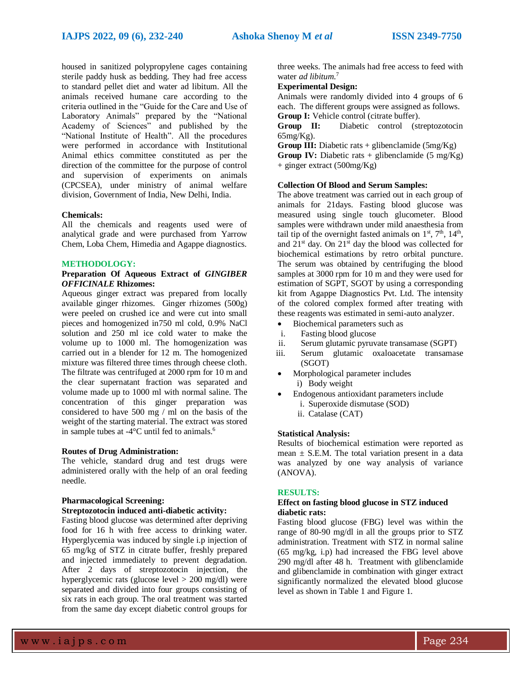housed in sanitized polypropylene cages containing sterile paddy husk as bedding. They had free access to standard pellet diet and water ad libitum. All the animals received humane care according to the criteria outlined in the "Guide for the Care and Use of Laboratory Animals" prepared by the "National Academy of Sciences" and published by the "National Institute of Health". All the procedures were performed in accordance with Institutional Animal ethics committee constituted as per the direction of the committee for the purpose of control and supervision of experiments on animals (CPCSEA), under ministry of animal welfare division, Government of India, New Delhi, India.

#### **Chemicals:**

All the chemicals and reagents used were of analytical grade and were purchased from Yarrow Chem, Loba Chem, Himedia and Agappe diagnostics.

#### **METHODOLOGY:**

#### **Preparation Of Aqueous Extract of** *GINGIBER OFFICINALE* **Rhizomes:**

Aqueous ginger extract was prepared from locally available ginger rhizomes. Ginger rhizomes (500g) were peeled on crushed ice and were cut into small pieces and homogenized in750 ml cold, 0.9% NaCl solution and 250 ml ice cold water to make the volume up to 1000 ml. The homogenization was carried out in a blender for 12 m. The homogenized mixture was filtered three times through cheese cloth. The filtrate was centrifuged at 2000 rpm for 10 m and the clear supernatant fraction was separated and volume made up to 1000 ml with normal saline. The concentration of this ginger preparation was considered to have 500 mg / ml on the basis of the weight of the starting material. The extract was stored in sample tubes at -4°C until fed to animals. 6

#### **Routes of Drug Administration:**

The vehicle, standard drug and test drugs were administered orally with the help of an oral feeding needle.

## **Pharmacological Screening:**

## **Streptozotocin induced anti-diabetic activity:**

Fasting blood glucose was determined after depriving food for 16 h with free access to drinking water. Hyperglycemia was induced by single i.p injection of 65 mg/kg of STZ in citrate buffer, freshly prepared and injected immediately to prevent degradation. After 2 days of streptozotocin injection, the hyperglycemic rats (glucose level > 200 mg/dl) were separated and divided into four groups consisting of six rats in each group. The oral treatment was started from the same day except diabetic control groups for

three weeks. The animals had free access to feed with water *ad libitum*. 7

#### **Experimental Design:**

Animals were randomly divided into 4 groups of 6 each. The different groups were assigned as follows. **Group I:** Vehicle control (citrate buffer).

**Group II:** Diabetic control (streptozotocin 65mg/Kg).

**Group III:** Diabetic rats  $+$  glibenclamide (5mg/Kg)

**Group IV:** Diabetic rats + glibenclamide  $(5 \text{ mg/Kg})$ + ginger extract (500mg/Kg)

#### **Collection Of Blood and Serum Samples:**

The above treatment was carried out in each group of animals for 21days. Fasting blood glucose was measured using single touch glucometer. Blood samples were withdrawn under mild anaesthesia from tail tip of the overnight fasted animals on  $1<sup>st</sup>$ ,  $7<sup>th</sup>$ ,  $14<sup>th</sup>$ , and  $21<sup>st</sup>$  day. On  $21<sup>st</sup>$  day the blood was collected for biochemical estimations by retro orbital puncture. The serum was obtained by centrifuging the blood samples at 3000 rpm for 10 m and they were used for estimation of SGPT, SGOT by using a corresponding kit from Agappe Diagnostics Pvt. Ltd. The intensity of the colored complex formed after treating with these reagents was estimated in semi-auto analyzer.

- Biochemical parameters such as
- i. Fasting blood glucose
- ii. Serum glutamic pyruvate transamase (SGPT)
- iii. Serum glutamic oxaloacetate transamase (SGOT)
- Morphological parameter includes i) Body weight
	- Endogenous antioxidant parameters include
	- i. Superoxide dismutase (SOD)
	- ii. Catalase (CAT)

#### **Statistical Analysis:**

Results of biochemical estimation were reported as mean  $\pm$  S.E.M. The total variation present in a data was analyzed by one way analysis of variance (ANOVA).

#### **RESULTS:**

#### **Effect on fasting blood glucose in STZ induced diabetic rats:**

Fasting blood glucose (FBG) level was within the range of 80-90 mg/dl in all the groups prior to STZ administration. Treatment with STZ in normal saline (65 mg/kg, i.p) had increased the FBG level above 290 mg/dl after 48 h. Treatment with glibenclamide and glibenclamide in combination with ginger extract significantly normalized the elevated blood glucose level as shown in Table 1 and Figure 1.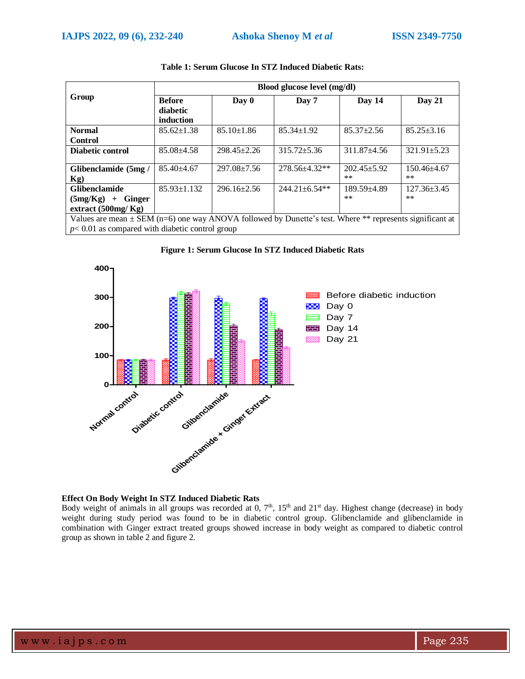|                                                                                                                | Blood glucose level (mg/dl) |                   |                     |                          |                            |  |
|----------------------------------------------------------------------------------------------------------------|-----------------------------|-------------------|---------------------|--------------------------|----------------------------|--|
| Group                                                                                                          | <b>Before</b>               | $\bf Day 0$       | Day 7               | Day 14                   | Day 21                     |  |
|                                                                                                                | diabetic                    |                   |                     |                          |                            |  |
|                                                                                                                | induction                   |                   |                     |                          |                            |  |
| <b>Normal</b>                                                                                                  | $85.62 \pm 1.38$            | $85.10 \pm 1.86$  | $85.34 \pm 1.92$    | $85.37 \pm 2.56$         | $85.25 \pm 3.16$           |  |
| <b>Control</b>                                                                                                 |                             |                   |                     |                          |                            |  |
| Diabetic control                                                                                               | $85.08 + 4.58$              | $298.45 \pm 2.26$ | $315.72 + 5.36$     | $311.87 + 4.56$          | $321.91 \pm 5.23$          |  |
| Glibenclamide (5mg/<br>$Kg$ )                                                                                  | $85.40 + 4.67$              | $297.08 \pm 7.56$ | 278.56±4.32**       | $202.45 + 5.92$<br>$***$ | $150.46 \pm 4.67$<br>$***$ |  |
| <b>Glibenclamide</b>                                                                                           | $85.93 \pm 1.132$           | $296.16 \pm 2.56$ | $244.21 \pm 6.54**$ | $189.59 + 4.89$          | $127.36 \pm 3.45$          |  |
| (5mg/Kg)<br><b>Ginger</b><br>$+$                                                                               |                             |                   |                     | $***$                    | $***$                      |  |
| extract $(500mg/Kg)$                                                                                           |                             |                   |                     |                          |                            |  |
| Values are mean $\pm$ SEM (n=6) one way ANOVA followed by Dunette's test. Where $**$ represents significant at |                             |                   |                     |                          |                            |  |

### **Table 1: Serum Glucose In STZ Induced Diabetic Rats:**

Values are mean  $\pm$  SEM (n=6) one way ANOVA followed by Dunette's test. Where \*\* represents significant at *p*< 0.01 as compared with diabetic control group



### **Figure 1: Serum Glucose In STZ Induced Diabetic Rats**

#### **Effect On Body Weight In STZ Induced Diabetic Rats**

Body weight of animals in all groups was recorded at  $0$ ,  $7<sup>th</sup>$ ,  $15<sup>th</sup>$  and  $21<sup>st</sup>$  day. Highest change (decrease) in body weight during study period was found to be in diabetic control group. Glibenclamide and glibenclamide in combination with Ginger extract treated groups showed increase in body weight as compared to diabetic control group as shown in table 2 and figure 2.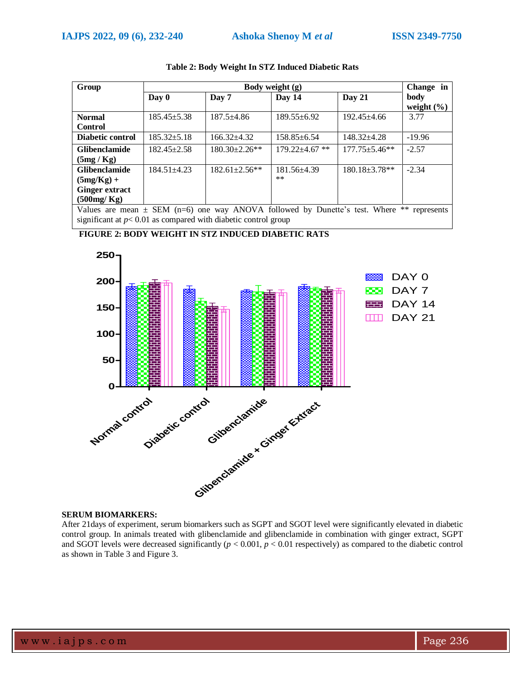| Group                                                                                            | Body weight (g)   |                      |                    |                     | Change in      |
|--------------------------------------------------------------------------------------------------|-------------------|----------------------|--------------------|---------------------|----------------|
|                                                                                                  | $\bf Day 0$       | Day 7                | Day 14             | Day 21              | body           |
|                                                                                                  |                   |                      |                    |                     | weight $(\% )$ |
| <b>Normal</b>                                                                                    | $185.45 \pm 5.38$ | $187.5 \pm 4.86$     | $189.55 \pm 6.92$  | $192.45 \pm 4.66$   | 3.77           |
| <b>Control</b>                                                                                   |                   |                      |                    |                     |                |
| Diabetic control                                                                                 | $185.32 \pm 5.18$ | $166.32 + 4.32$      | $158.85 \pm 6.54$  | $148.32 + 4.28$     | $-19.96$       |
| <b>Glibenclamide</b>                                                                             | $182.45 \pm 2.58$ | $180.30 \pm 2.26$ ** | $179.22 + 4.67$ ** | $177.75 \pm 5.46**$ | $-2.57$        |
| (5mg/Kg)                                                                                         |                   |                      |                    |                     |                |
| <b>Glibenclamide</b>                                                                             | $184.51 \pm 4.23$ | $182.61 \pm 2.56**$  | $181.56 \pm 4.39$  | $180.18 \pm 3.78**$ | $-2.34$        |
| $(5mg/Kg) +$                                                                                     |                   |                      | $***$              |                     |                |
| <b>Ginger extract</b>                                                                            |                   |                      |                    |                     |                |
| $(500$ mg/Kg)                                                                                    |                   |                      |                    |                     |                |
| Values are mean $\pm$ SEM (n=6) one way ANOVA followed by Dunette's test. Where **<br>represents |                   |                      |                    |                     |                |

#### **Table 2: Body Weight In STZ Induced Diabetic Rats**

significant at  $p < 0.01$  as compared with diabetic control group





#### **SERUM BIOMARKERS:**

After 21days of experiment, serum biomarkers such as SGPT and SGOT level were significantly elevated in diabetic control group. In animals treated with glibenclamide and glibenclamide in combination with ginger extract, SGPT and SGOT levels were decreased significantly  $(p < 0.001, p < 0.01$  respectively) as compared to the diabetic control as shown in Table 3 and Figure 3.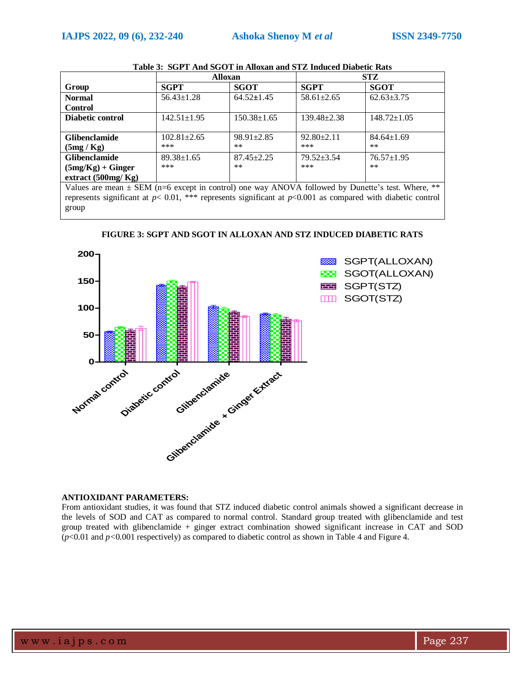|                                                                                                             | <b>Alloxan</b>    |                   | <b>STZ</b>        |                   |  |
|-------------------------------------------------------------------------------------------------------------|-------------------|-------------------|-------------------|-------------------|--|
| Group                                                                                                       | <b>SGPT</b>       | <b>SGOT</b>       | <b>SGPT</b>       | <b>SGOT</b>       |  |
| <b>Normal</b>                                                                                               | $56.43 \pm 1.28$  | $64.52 \pm 1.45$  | $58.61 \pm 2.65$  | $62.63 \pm 3.75$  |  |
| <b>Control</b>                                                                                              |                   |                   |                   |                   |  |
| Diabetic control                                                                                            | $142.51 \pm 1.95$ | $150.38 \pm 1.65$ | $139.48 \pm 2.38$ | $148.72 \pm 1.05$ |  |
|                                                                                                             |                   |                   |                   |                   |  |
| <b>Glibenclamide</b>                                                                                        | $102.81 \pm 2.65$ | $98.91 \pm 2.85$  | $92.80 \pm 2.11$  | $84.64 \pm 1.69$  |  |
| (5mg/Kg)                                                                                                    | ***               | $**$              | ***               | $***$             |  |
| <b>Glibenclamide</b>                                                                                        | $89.38 \pm 1.65$  | $87.45 \pm 2.25$  | $79.52 + 3.54$    | $76.57 \pm 1.95$  |  |
| $(5mg/Kg) + Ginger$                                                                                         | ***               | $**$              | ***               | $***$             |  |
| extract $(500mg/Kg)$                                                                                        |                   |                   |                   |                   |  |
| Values are mean + $\text{FEM}$ (n-6 except in control) one way ANOVA followed by Dunette's test. Where $**$ |                   |                   |                   |                   |  |

|--|

SEM (n=6 except in control) one way ANOVA followed by Dunette's test. Where, represents significant at *p*< 0.01, \*\*\* represents significant at *p*<0.001 as compared with diabetic control group



**FIGURE 3: SGPT AND SGOT IN ALLOXAN AND STZ INDUCED DIABETIC RATS**

### **ANTIOXIDANT PARAMETERS:**

From antioxidant studies, it was found that STZ induced diabetic control animals showed a significant decrease in the levels of SOD and CAT as compared to normal control. Standard group treated with glibenclamide and test group treated with glibenclamide + ginger extract combination showed significant increase in CAT and SOD  $(p<0.01$  and  $p<0.001$  respectively) as compared to diabetic control as shown in Table 4 and Figure 4.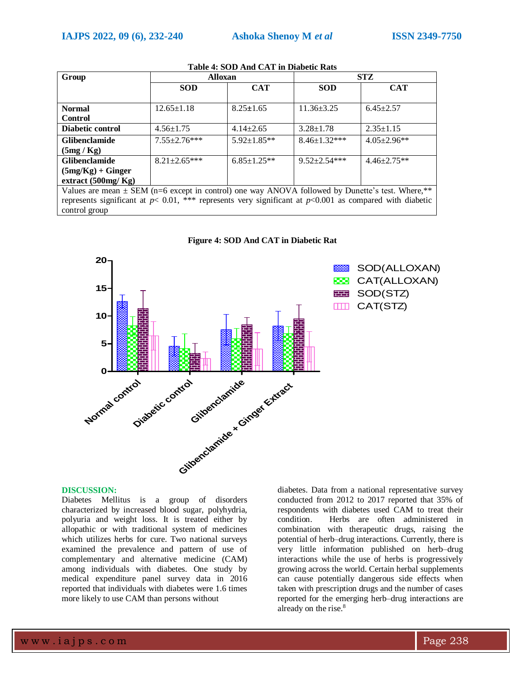| Group                                                                                                                                                                                                                                                                                                                                                                                                                                                        | <b>Alloxan</b>      |                   | <b>STZ</b>          |                    |  |
|--------------------------------------------------------------------------------------------------------------------------------------------------------------------------------------------------------------------------------------------------------------------------------------------------------------------------------------------------------------------------------------------------------------------------------------------------------------|---------------------|-------------------|---------------------|--------------------|--|
|                                                                                                                                                                                                                                                                                                                                                                                                                                                              | <b>SOD</b>          | <b>CAT</b>        | <b>SOD</b>          | <b>CAT</b>         |  |
|                                                                                                                                                                                                                                                                                                                                                                                                                                                              |                     |                   |                     |                    |  |
| <b>Normal</b>                                                                                                                                                                                                                                                                                                                                                                                                                                                | $12.65 \pm 1.18$    | $8.25 \pm 1.65$   | $11.36 \pm 3.25$    | $6.45 \pm 2.57$    |  |
| <b>Control</b>                                                                                                                                                                                                                                                                                                                                                                                                                                               |                     |                   |                     |                    |  |
| Diabetic control                                                                                                                                                                                                                                                                                                                                                                                                                                             | $4.56 \pm 1.75$     | $4.14 \pm 2.65$   | $3.28 \pm 1.78$     | $2.35 \pm 1.15$    |  |
| <b>Glibenclamide</b>                                                                                                                                                                                                                                                                                                                                                                                                                                         | $7.55 \pm 2.76***$  | $5.92 \pm 1.85**$ | $8.46 \pm 1.32$ *** | $4.05 \pm 2.96$ ** |  |
| (5mg/Kg)                                                                                                                                                                                                                                                                                                                                                                                                                                                     |                     |                   |                     |                    |  |
| <b>Glibenclamide</b>                                                                                                                                                                                                                                                                                                                                                                                                                                         | $8.21 \pm 2.65$ *** | $6.85 \pm 1.25**$ | $9.52 \pm 2.54$ *** | $4.46 \pm 2.75**$  |  |
| $(5mg/Kg) + Ginger$                                                                                                                                                                                                                                                                                                                                                                                                                                          |                     |                   |                     |                    |  |
| extract $(500mg/Kg)$                                                                                                                                                                                                                                                                                                                                                                                                                                         |                     |                   |                     |                    |  |
| Values are mean $\pm$ SEM (n=6 except in control) one way ANOVA followed by Dunette's test. Where,**                                                                                                                                                                                                                                                                                                                                                         |                     |                   |                     |                    |  |
| $\mathcal{L} = \mathcal{L} = \mathcal{L} = \mathcal{L} = \mathcal{L} = \mathcal{L} = \mathcal{L} = \mathcal{L} = \mathcal{L} = \mathcal{L} = \mathcal{L} = \mathcal{L} = \mathcal{L} = \mathcal{L} = \mathcal{L} = \mathcal{L} = \mathcal{L} = \mathcal{L} = \mathcal{L} = \mathcal{L} = \mathcal{L} = \mathcal{L} = \mathcal{L} = \mathcal{L} = \mathcal{L} = \mathcal{L} = \mathcal{L} = \mathcal{L} = \mathcal{L} = \mathcal{L} = \mathcal{L} = \mathcal$ |                     |                   |                     |                    |  |

## **Table 4: SOD And CAT in Diabetic Rats**

represents significant at *p*< 0.01, \*\*\* represents very significant at *p*<0.001 as compared with diabetic control group





#### **DISCUSSION:**

Diabetes Mellitus is a group of disorders characterized by increased blood sugar, polyhydria, polyuria and weight loss. It is treated either by allopathic or with traditional system of medicines which utilizes herbs for cure. Two national surveys examined the prevalence and pattern of use of complementary and alternative medicine (CAM) among individuals with diabetes. One study by medical expenditure panel survey data in 2016 reported that individuals with diabetes were 1.6 times more likely to use CAM than persons without

diabetes. Data from a national representative survey conducted from 2012 to 2017 reported that 35% of respondents with diabetes used CAM to treat their condition. Herbs are often administered in combination with therapeutic drugs, raising the potential of herb–drug interactions. Currently, there is very little information published on herb–drug interactions while the use of herbs is progressively growing across the world. Certain herbal supplements can cause potentially dangerous side effects when taken with prescription drugs and the number of cases reported for the emerging herb–drug interactions are already on the rise. 8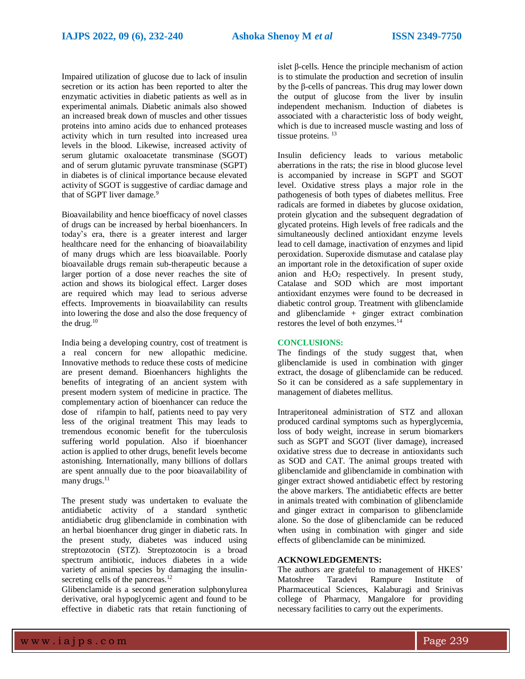Impaired utilization of glucose due to lack of insulin secretion or its action has been reported to alter the enzymatic activities in diabetic patients as well as in experimental animals. Diabetic animals also showed an increased break down of muscles and other tissues proteins into amino acids due to enhanced proteases activity which in turn resulted into increased urea levels in the blood. Likewise, increased activity of serum glutamic oxaloacetate transminase (SGOT) and of serum glutamic pyruvate transminase (SGPT) in diabetes is of clinical importance because elevated activity of SGOT is suggestive of cardiac damage and that of SGPT liver damage.<sup>9</sup>

Bioavailability and hence bioefficacy of novel classes of drugs can be increased by herbal bioenhancers. In today's era, there is a greater interest and larger healthcare need for the enhancing of bioavailability of many drugs which are less bioavailable. Poorly bioavailable drugs remain sub-therapeutic because a larger portion of a dose never reaches the site of action and shows its biological effect. Larger doses are required which may lead to serious adverse effects. Improvements in bioavailability can results into lowering the dose and also the dose frequency of the drug.<sup>10</sup>

India being a developing country, cost of treatment is a real concern for new allopathic medicine. Innovative methods to reduce these costs of medicine are present demand. Bioenhancers highlights the benefits of integrating of an ancient system with present modern system of medicine in practice. The complementary action of bioenhancer can reduce the dose of rifampin to half, patients need to pay very less of the original treatment This may leads to tremendous economic benefit for the tuberculosis suffering world population. Also if bioenhancer action is applied to other drugs, benefit levels become astonishing. Internationally, many billions of dollars are spent annually due to the poor bioavailability of many drugs.<sup>11</sup>

The present study was undertaken to evaluate the antidiabetic activity of a standard synthetic antidiabetic drug glibenclamide in combination with an herbal bioenhancer drug ginger in diabetic rats. In the present study, diabetes was induced using streptozotocin (STZ). Streptozotocin is a broad spectrum antibiotic, induces diabetes in a wide variety of animal species by damaging the insulinsecreting cells of the pancreas.<sup>12</sup>

Glibenclamide is a second generation sulphonylurea derivative, oral hypoglycemic agent and found to be effective in diabetic rats that retain functioning of

islet β-cells. Hence the principle mechanism of action is to stimulate the production and secretion of insulin by the β-cells of pancreas. This drug may lower down the output of glucose from the liver by insulin independent mechanism. Induction of diabetes is associated with a characteristic loss of body weight, which is due to increased muscle wasting and loss of tissue proteins.<sup>13</sup>

Insulin deficiency leads to various metabolic aberrations in the rats; the rise in blood glucose level is accompanied by increase in SGPT and SGOT level. Oxidative stress plays a major role in the pathogenesis of both types of diabetes mellitus. Free radicals are formed in diabetes by glucose oxidation, protein glycation and the subsequent degradation of glycated proteins. High levels of free radicals and the simultaneously declined antioxidant enzyme levels lead to cell damage, inactivation of enzymes and lipid peroxidation. Superoxide dismutase and catalase play an important role in the detoxification of super oxide anion and  $H_2O_2$  respectively. In present study, Catalase and SOD which are most important antioxidant enzymes were found to be decreased in diabetic control group. Treatment with glibenclamide and glibenclamide + ginger extract combination restores the level of both enzymes.<sup>14</sup>

#### **CONCLUSIONS:**

The findings of the study suggest that, when glibenclamide is used in combination with ginger extract, the dosage of glibenclamide can be reduced. So it can be considered as a safe supplementary in management of diabetes mellitus.

Intraperitoneal administration of STZ and alloxan produced cardinal symptoms such as hyperglycemia, loss of body weight, increase in serum biomarkers such as SGPT and SGOT (liver damage), increased oxidative stress due to decrease in antioxidants such as SOD and CAT. The animal groups treated with glibenclamide and glibenclamide in combination with ginger extract showed antidiabetic effect by restoring the above markers. The antidiabetic effects are better in animals treated with combination of glibenclamide and ginger extract in comparison to glibenclamide alone. So the dose of glibenclamide can be reduced when using in combination with ginger and side effects of glibenclamide can be minimized.

#### **ACKNOWLEDGEMENTS:**

The authors are grateful to management of HKES' Matoshree Taradevi Rampure Institute of Pharmaceutical Sciences, Kalaburagi and Srinivas college of Pharmacy, Mangalore for providing necessary facilities to carry out the experiments.